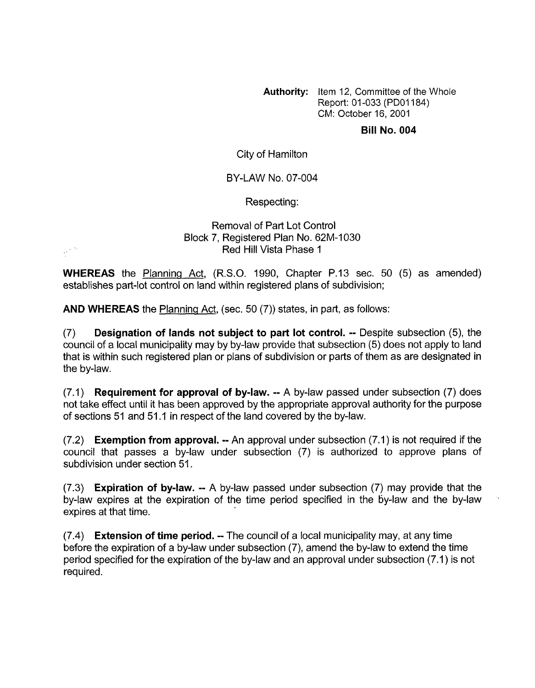**Authority:** Item 12, Committee of the Whole Report: 01 -033 (PDOI 184) CM: October 16, 2001

## **Bill No. 004**

City of Hamilton

## BY-LAW NO. 07-004

Respecting:

## Removal of Part Lot Control Block 7, Registered Plan No. 62M-1030 Red Hill Vista Phase 1

**WHEREAS** the Planning Act, (R.S.O. 1990, Chapter P.13 sec. 50 (5) as amended) establishes part-lot control on land within registered plans of subdivision;

**AND WHEREAS** the Planninq Act, (sec. 50 (7)) states, in part, as follows:

 $\frac{1}{2} \frac{1}{2} \frac{d\phi}{d\phi}$ 

(7) **Designation of lands not subject to part lot control.** -- Despite subsection **(5),** the council of a local municipality may by by-law provide that subsection (5) does not apply to land that is within such registered plan or plans of subdivision or parts of them as are designated in the by-law.

(7.1) **Requirement for approval of bylaw.** -- A by-law passed under subsection (7) does not take effect until it has been approved by the appropriate approval authority for the purpose of sections 51 and 51.1 in respect of the land covered by the by-law.

(7.2) **Exemption from approval.** -- An approval under subsection (7.1) is not required if the council that passes a by-law under subsection (7) is authorized to approve plans of subdivision under section 51.

(7.3) **Expiration of bylaw.** -- A by-law passed under subsection (7) may provide that the by-law expires at the expiration of the time period specified in the 6y-law and the by-law expires at that time.

(7.4) **Extension of time period.** -- The council of a local municipality may, at any time before the expiration of a by-law under subsection (7), amend the by-law to extend the time period specified for the expiration of the by-law and an approval under subsection (7.1) is not required.